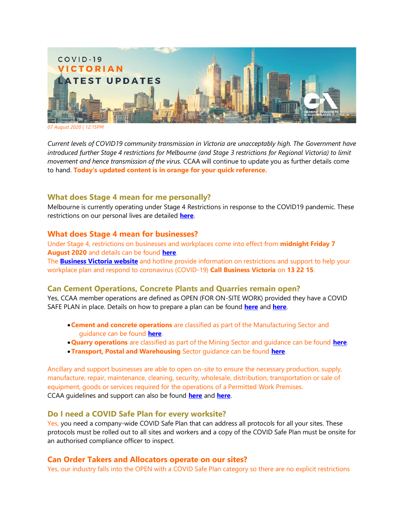

*07 August 2020 | 12:15PM*

*Current levels of COVID19 community transmission in Victoria are unacceptably high. The Government have introduced further Stage 4 restrictions for Melbourne (and Stage 3 restrictions for Regional Victoria) to limit movement and hence transmission of the virus.* CCAA will continue to update you as further details come to hand. **Today's updated content is in orange for your quick reference.**

# **What does Stage 4 mean for me personally?**

Melbourne is currently operating under Stage 4 Restrictions in response to the COVID19 pandemic. These restrictions on our personal lives are detailed **[here](https://www.dhhs.vic.gov.au/victorias-restriction-levels-covid-19)**.

## **What does Stage 4 mean for businesses?**

Under Stage 4, restrictions on businesses and workplaces come into effect from **midnight Friday 7 August 2020** and details can be found **[here](https://www.business.vic.gov.au/disputes-disasters-and-succession-planning/covid-safe-business)**.

The **[Business Victoria website](https://www.business.vic.gov.au/disputes-disasters-and-succession-planning/covid-safe-business/creating-a-covid-safe-workplace)** and hotline provide information on restrictions and support to help your workplace plan and respond to coronavirus (COVID-19) **Call Business Victoria** on **13 22 15**.

# **Can Cement Operations, Concrete Plants and Quarries remain open?**

Yes, CCAA member operations are defined as OPEN (FOR ON-SITE WORK) provided they have a COVID SAFE PLAN in place. Details on how to prepare a plan can be found **[here](https://www.business.vic.gov.au/disputes-disasters-and-succession-planning/covid-safe-business/creating-a-covid-safe-workplace)** and **[here](https://www.worksafe.vic.gov.au/coronavirus-covid-19)**.

- •**Cement and concrete operations** are classified as part of the Manufacturing Sector and guidance can be found **[here](https://www.business.vic.gov.au/disputes-disasters-and-succession-planning/covid-safe-business/manufacturing-sector-guidance)**.
- •**Quarry operations** are classified as part of the Mining Sector and guidance can be found **[here](https://www.business.vic.gov.au/disputes-disasters-and-succession-planning/covid-safe-business/mining-sector-guidance)**.
- •**Transport, Postal and Warehousing** Sector guidance can be found **[here](https://www.business.vic.gov.au/disputes-disasters-and-succession-planning/covid-safe-business/transport,-postal-and-warehousing-sector-guidance)**.

Ancillary and support businesses are able to open on-site to ensure the necessary production, supply, manufacture, repair, maintenance, cleaning, security, wholesale, distribution, transportation or sale of equipment, goods or services required for the operations of a Permitted Work Premises. CCAA guidelines and support can also be found **[here](https://view.publitas.com/ccaa/ccaa_covid19_riskmanagementprotocols_newsletter_25032020/page/1)** and **[here](http://www.ccaa.com.au/)**.

### **Do I need a COVID Safe Plan for every worksite?**

Yes, you need a company-wide COVID Safe Plan that can address all protocols for all your sites. These protocols must be rolled out to all sites and workers and a copy of the COVID Safe Plan must be onsite for an authorised compliance officer to inspect.

# **Can Order Takers and Allocators operate on our sites?**

Yes, our industry falls into the OPEN with a COVID Safe Plan category so there are no explicit restrictions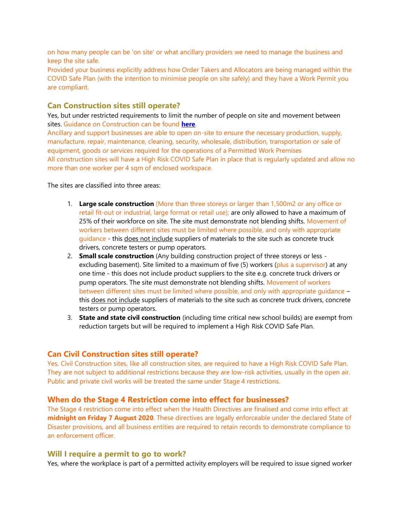on how many people can be 'on site' or what ancillary providers we need to manage the business and keep the site safe.

Provided your business explicitly address how Order Takers and Allocators are being managed within the COVID Safe Plan (with the intention to minimise people on site safely) and they have a Work Permit you are compliant.

## **Can Construction sites still operate?**

Yes, but under restricted requirements to limit the number of people on site and movement between sites. Guidance on Construction can be found **[here](https://www.business.vic.gov.au/disputes-disasters-and-succession-planning/covid-safe-business/construction-sector-guidance)**.

Ancillary and support businesses are able to open on-site to ensure the necessary production, supply, manufacture, repair, maintenance, cleaning, security, wholesale, distribution, transportation or sale of equipment, goods or services required for the operations of a Permitted Work Premises All construction sites will have a High Risk COVID Safe Plan in place that is regularly updated and allow no more than one worker per 4 sqm of enclosed workspace.

The sites are classified into three areas:

- 1. **Large scale construction** (More than three storeys or larger than 1,500m2 or any office or retail fit-out or industrial, large format or retail use); are only allowed to have a maximum of 25% of their workforce on site. The site must demonstrate not blending shifts. Movement of workers between different sites must be limited where possible, and only with appropriate guidance - this does not include suppliers of materials to the site such as concrete truck drivers, concrete testers or pump operators.
- 2. **Small scale construction** (Any building construction project of three storeys or less excluding basement). Site limited to a maximum of five (5) workers (plus a supervisor) at any one time - this does not include product suppliers to the site e.g. concrete truck drivers or pump operators. The site must demonstrate not blending shifts. Movement of workers between different sites must be limited where possible, and only with appropriate guidance – this does not include suppliers of materials to the site such as concrete truck drivers, concrete testers or pump operators.
- 3. **State and state civil construction** (including time critical new school builds) are exempt from reduction targets but will be required to implement a High Risk COVID Safe Plan.

### **Can Civil Construction sites still operate?**

Yes, Civil Construction sites, like all construction sites, are required to have a High Risk COVID Safe Plan. They are not subject to additional restrictions because they are low-risk activities, usually in the open air. Public and private civil works will be treated the same under Stage 4 restrictions.

### **When do the Stage 4 Restriction come into effect for businesses?**

The Stage 4 restriction come into effect when the Health Directives are finalised and come into effect at **midnight on Friday 7 August 2020**. These directives are legally enforceable under the declared State of Disaster provisions, and all business entities are required to retain records to demonstrate compliance to an enforcement officer.

#### **Will I require a permit to go to work?**

Yes, where the workplace is part of a permitted activity employers will be required to issue signed worker